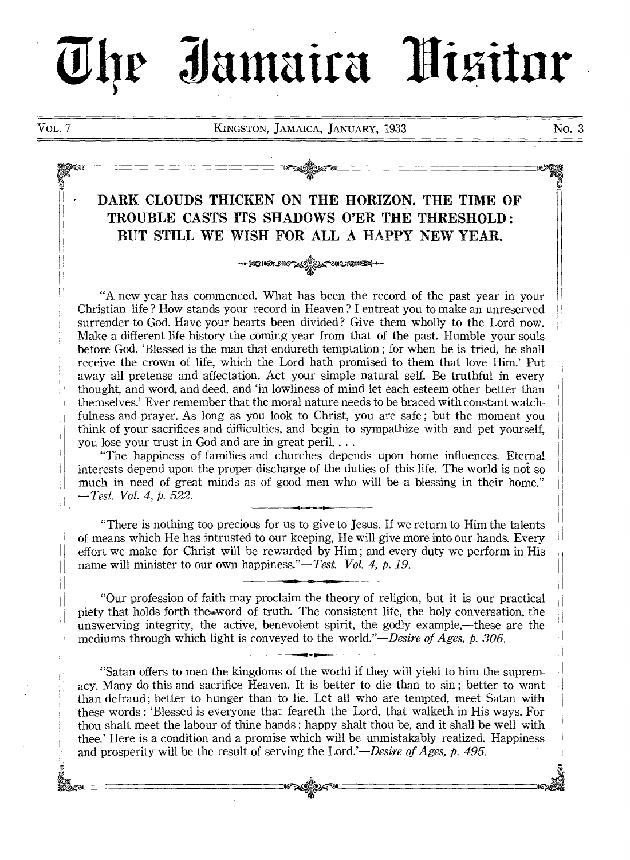# he Iamaira Hisitor

VOL. 7 KINGSTON, JAMAICA, JANUARY, 1933 No. 3

### DARK CLOUDS THICKEN ON THE HORIZON. THE TIME OF TROUBLE CASTS ITS SHADOWS O'ER THE THRESHOLD : BUT STILL WE WISH FOR ALL A HAPPY NEW YEAR.

OG ONC 2010 - -

<del>⊧©</del>แดะตราง

"A new year has commenced. What has been the record of the past year in your Christian life ? How stands your record in Heaven ? I entreat you to make an unreserved surrender to God. Have your hearts been divided? Give them wholly to the Lord now. Make a different life history the coming year from that of the past. Humble your souls before God. 'Blessed is the man that endureth temptation ; for when he is tried, he shall receive the crown of life, which the Lord hath promised to them that love Him.' Put away all pretense and affectation. Act your simple natural self. Be truthful in every thought, and word, and deed, and 'in lowliness of mind let each esteem other better than themselves.' Ever remember that the moral nature needs to be braced with constant watchfulness and prayer. As long as you look to Christ, you are safe ; but the moment you think of your sacrifices and difficulties, and begin to sympathize with and pet yourself, you lose your trust in God and are in great peril. . . .

"The happiness of families and churches depends upon home influences. Eternal interests depend upon the proper discharge of the duties of this life. The world is not so much in need of great minds as of good men who will be a blessing in their home." *—Test. Vol. 4, p. 522.* 

"There is nothing too precious for us to give to Jesus. If we return to Him the talents of means which He has intrusted to our keeping, He will give more into our hands. Every effort we make for Christ will be rewarded by Him ; and every duty we perform in His name will minister to our own happiness."—Test. Vol. 4, p. 19.

"Our profession of faith may proclaim the theory of religion, but it is our practical piety that holds forth theword of truth. The consistent life, the holy conversation, the unswerving integrity, the active, benevolent spirit, the godly example,—these are the mediums through which light is conveyed to the *world."—Desire of Ages, p. 306.* 

"Satan offers to men the kingdoms of the world if they will yield to him the supremacy. Many do this and sacrifice Heaven. It is better to die than to sin ; better to want than defraud ; better to hunger than to lie. Let all who are tempted, meet Satan with these words : 'Blessed is everyone that feareth the Lord, that walketh in His ways. For thou shalt meet the labour of thine hands : happy shalt thou be, and it shall be well with thee.' Here is a condition and a promise which will be unmistakably realized. Happiness and prosperity will be the result of serving the *Lord.'—Desire of Ages, p. 495.*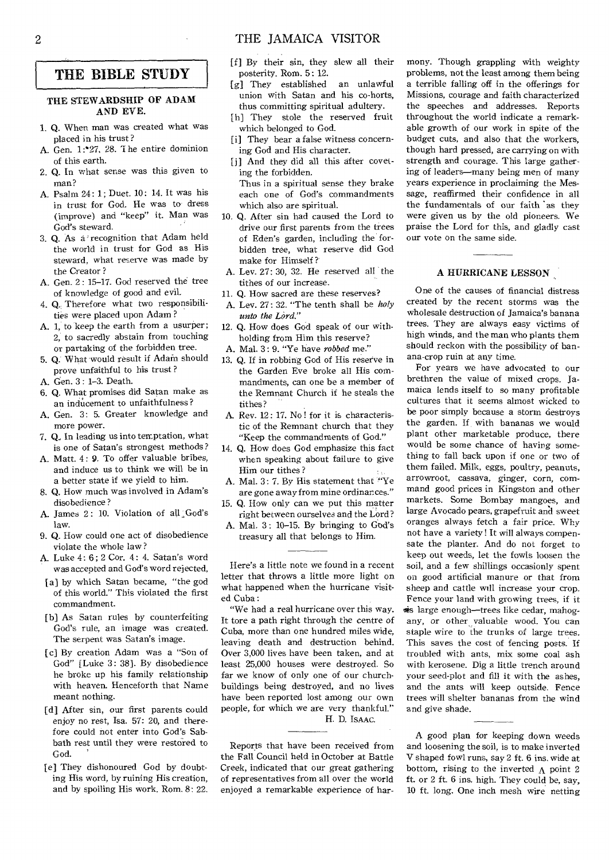#### THE BIBLE STUDY

#### THE STEWARDSHIP OF ADAM AND EVE.

- 1. Q. When man was created what was placed in his trust?
- A. Gen. 1:`27, 28. 1 he entire dominion of this earth.
- 2. Q. In what sense was this given to man?
- A. Psalm 24: 1; Duet. 10: 14. It was his in trust for God. He was to dress (improve) and "keep" it. Man was God's steward.
- 3. Q. As a recognition that Adam held the world in trust for God as His steward, what reserve was made by the Creator?
- A. Gen. 2 : 15-17. God reserved the tree of knowledge of good and evil.
- 4. Q. Therefore what two responsibilities were placed upon Adam ?
- A. 1, to keep the earth from a usurper; 2, to sacredly abstain from touching or partaking of the forbidden tree.
- 5. Q. What would result if Adam should prove unfaithful to his trust ?
- A. Gen. 3 : 1-3. Death.
- 6. Q. What promises did Satan make as an inducement to unfaithfulness ?
- A. Gen. 3: 5. Greater knowledge and more power.
- 7. Q., In leading us into temptation, what is one of Satan's strongest methods?
- A. Matt. 4: 9. To offer valuable bribes, and induce us to think we will be in a better state if we yield to him.
- 8. Q. How much was involved in Adam's disobedience ?
- A. James 2: 10. Violation of all God's law.
- 9. Q. How could one act of disobedience violate the whole law ?
- A. Luke 4 : 6 ; 2 Cor. 4: 4. Satan's word was accepted and God's word rejected,
- [a] by which Satan became, "the god of this world." This violated the first commandment.
- [b] As Satan rules by counterfeiting God's rule, an image was created. The serpent was Satan's image.
- [c] By creation Adam was a "Son of God" [Luke 3: 38]. By disobedience he broke up his family relationship with heaven. Henceforth that Name meant nothing.
- [d] After sin, our first parents could enjoy no rest, Isa. 57: 20, and therefore could not enter into God's Sabbath rest until they were restored to God.
- [e] They dishonoured God by doubting His word, by ruining His creation, and by spoiling His work. Rom. 8: 22.
- [f] By their sin, they slew all their posterity. Rom. 5: 12.
- [g] They established an unlawful union with Satan and his co-horts, thus committing spiritual adultery.
- [h] They stole the reserved fruit which belonged to God.
- [i] They bear a false witness concerning God and His character.
- [j] And they did all this after coveting the forbidden. Thus in a spiritual sense they brake each one of God's commandments
- which also are spiritual. 10. Q. After sin had caused the Lord to drive our first parents from the trees of Eden's garden, including the forbidden tree, what reserve did God make for Himself ?
- A. Lev. 27: 30, 32. He reserved all the tithes of our increase.
- 11. Q. How sacred are these reserves?
- A. Lev. 27: 32. "The tenth shall be *holy unto the Lord."*
- 12. Q. How does God speak of our withholding from Him this reserve?
- A. Mal. 3: 9. "Ye have *robbed* me."
- 13. Q. If in robbing God of His reserve in the Garden Eve broke all His commandments, can one be a member of the Remnant Church if he steals the tithes?
- A. Rev. 12: 17. No! for it is characteristic of the Remnant church that they "Keep the commandments of God."
- 14. Q. How does God emphasize this fact when speaking about failure to give Him our tithes ?
- A. Mal. 3: 7. By His statement that "Ye are gone away from mine ordinances."
- 15. Q. How only can we put this matter right between ourselves and the Lord?
- A. Mal. 3: 10-15. By bringing to God's treasury all that belongs to Him.

Here's a little note we found in a recent letter that throws a little more light on what happened when the hurricane visited Cuba:

"We had a real hurricane over this way. It tore a path right through the centre of Cuba, more than one hundred miles wide, leaving death and destruction behind. Over 3,000 lives have been taken, and at least 25,000 houses were destroyed. So far we know of only one of our churchbuildings being destroyed, and no lives have been reported lost among our own people, for which we are very thankful." H. D. IsAAc.

Reports that have been received from the Fall Council held in October at Battle Creek, indicated that our great gathering of representatives from all over the world enjoyed a remarkable experience of harmony. Though grappling with weighty problems, not the least among them being a terrible falling off in the offerings for Missions, courage and faith characterized the speeches and addresses. Reports throughout the world indicate a remarkable growth of our work in spite of the budget cuts, and also that the workers, though hard pressed, are carrying on with strength and courage. This large gathering of leaders-many being men of many years experience in proclaiming the Message, reaffirmed their confidence in all the fundamentals of our faith 'as they were given us by the old pioneers. We praise the Lord for this, and gladly cast our vote on the same side.

#### A HURRICANE LESSON

One of the causes of financial distress created by the recent storms was the wholesale destruction of Jamaica's banana trees. They are always easy victims of high winds, and the man who plants them should reckon with the possibility of banana-crop ruin at any time.

For years we have advocated to our brethren the value of mixed crops. Jamaica lends itself to so many profitable cultures that it seems almost wicked to be poor simply because a storm destroys the garden. If with bananas we would plant other marketable produce, there would be some chance of having something to fall back upon if one or two of them failed. Milk, eggs, poultry, peanuts, arrowroot, cassava, ginger, corn, command good prices in Kingston and other markets. Some Bombay mangoes, and large Avocado pears, grapefruit and sweet oranges always fetch a fair price. Why not have a variety! It will always compensate the planter. And do not forget to keep out weeds, let the fowls loosen the soil, and a few shillings occasionly spent on good artificial manure or that from sheep and cattle will increase your crop. Fence your land with growing trees, if it  $\equiv$  large enough-trees like cedar, mahogany, or other valuable wood. You can staple wire to the trunks of large trees. This saves the cost of fencing posts. If troubled with ants, mix some coal ash with kerosene. Dig a little trench around your seed-plot and fill it with the ashes, and the ants will keep outside. Fence trees will shelter bananas from the wind and give shade.

A good plan for keeping down weeds and loosening the soil, is to make inverted V shaped fowl runs, say 2 ft. 6 ins. wide at bottom, rising to the inverted  $\Lambda$  point 2 ft. or 2 ft. 6 ins. high. They could be, say, 10 ft. long. One inch mesh wire netting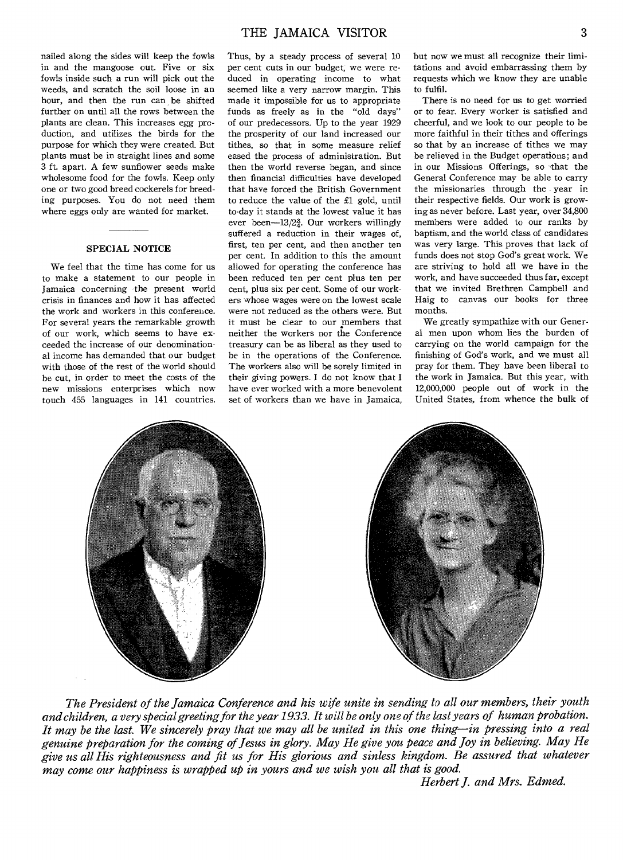nailed along the sides will keep the fowls in and the mangoose out. Five or six fowls inside such a run will pick out the weeds, and scratch the soil loose in an hour, and then the run can be shifted further on until all the rows between the plants are clean. This increases egg production, and utilizes the birds for the purpose for which they were created. But plants must be in straight lines and some 3 ft. apart. A few sunflower seeds make wholesome food for the fowls. Keep only one or two good breed cockerels for breeding purposes. You do not need them where eggs only are wanted for market.

#### SPECIAL NOTICE

We feel that the time has come for us to make a statement to our people in Jamaica concerning the present world crisis in finances and how it has affected the work and workers in this conference. For several years the remarkable growth of our work, which seems to have exceeded the increase of our denominational income has demanded that our budget with those of the rest of the world should be cut, in order to meet the costs of the new missions enterprises which now touch 455 languages in 141 countries. Thus, by a steady process of several 10 per cent cuts in our budget, we were reduced in operating income to what seemed like a very narrow margin. This made it impossible for us to appropriate funds as freely as in the "old days" of our predecessors. Up to the year 1929 the prosperity of our land increased our tithes, so that in some measure relief eased the process of administration. But then the world reverse began, and since then financial difficulties have developed that have forced the British Government to reduce the value of the £1 gold, until to-day it stands at the lowest value it has ever been- $13/2<sub>4</sub><sup>3</sup>$ . Our workers willingly suffered a reduction in their wages of, first, ten per cent, and then another ten per cent. In addition to this the amount allowed for operating the conference has been reduced ten per cent plus ten per cent, plus six per cent. Some of our workers whose wages were on the lowest scale were not reduced as the others were. But it must be clear to our members that neither the workers nor the Conference treasury can be as liberal as they used to be in the operations of the Conference. The workers also will be sorely limited in their giving powers. I do not know that I have ever worked with a more benevolent set of workers than we have in Jamaica,

but now we must all recognize their limitations and avoid embarrassing them by requests which we know they are unable to fulfil.

There is no need for us to get worried or to fear. Every worker is satisfied and cheerful, and we look to our people to be more faithful in their tithes and offerings so that by an increase of tithes we may be relieved in the Budget operations; and in our Missions Offerings, so that the General Conference may be able to carry the missionaries through the year in their respective fields. Our work is growing as never before. Last year, over 34,800 members were added to our ranks by baptism, and the world class of candidates was very large. This proves that lack of funds does not stop God's great work. We are striving to hold all we have in the work, and have succeeded thus far, except that we invited Brethren Campbell and Haig to canvas our books for three months.

We greatly sympathize with our General men upon whom lies the burden of carrying on the world campaign for the finishing of God's work, and we must all pray for them. They have been liberal to the work in Jamaica. But this year, with 12,000,000 people out of work in the United States, from whence the bulk of



*The President of the Jamaica Conference and his wife unite in sending to all our members, their youth and children, a very special greeting for the year 1933. It will be only one of the last years of human probation. It may be the last. We sincerely pray that we may all be united in this one thing—in pressing into a real genuine preparation for the coming of Jesus in glory. May He give you peace and Joy in believing. May He give us all His righteousness and fit us for His glorious and sinless kingdom. Be assured that whatever may come our happiness is wrapped up in yours and we wish you all that is good.* 

*Herbert J. and Mrs. Edmed.*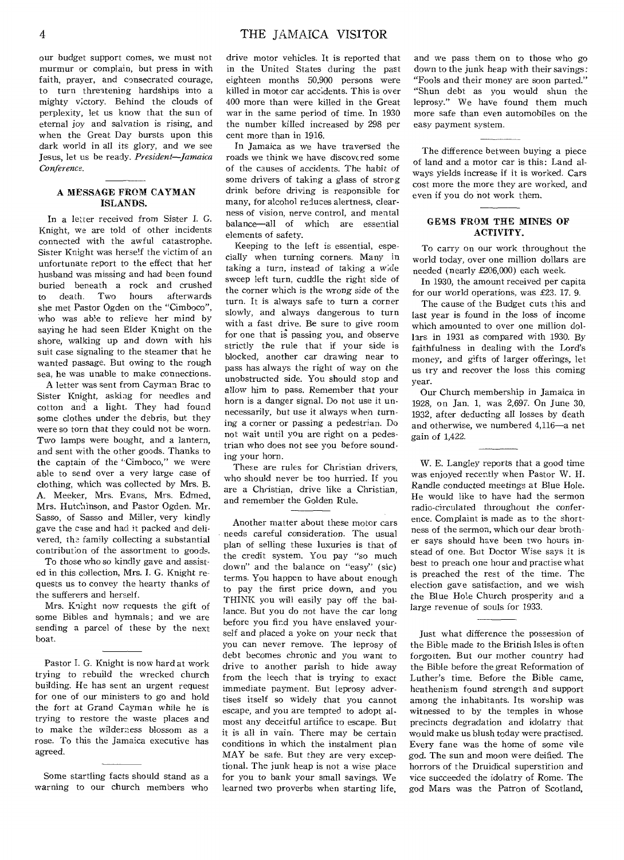our budget support comes, we must not murmur or complain, but press in with faith, prayer, and consecrated courage, to turn threatening hardships into a mighty victory. Behind the clouds of perplexity, let us know that the sun of eternal joy and salvation is rising, and when the Great Day bursts upon this dark world in all its *glory,* and we see Jesus, let us be ready. *President—Jamaica Conference.* 

#### A MESSAGE FROM CAYMAN ISLANDS.

In a letter received from Sister I. G. Knight, we are told of other incidents connected with the awful catastrophe. Sister Knight was herself the victim of an unfortunate report to the effect that her husband was missing and had been found buried beneath a rock and crushed to death. Two hours afterwards she met Pastor Ogden on the "Cimboco", who was able to relieve her mind by saying he had seen Elder Knight on the shore, walking up and down with his suit case signaling to the steamer that he wanted passage. But owing to the rough sea, he was unable to make connections.

A letter was sent from Cayman Brac to Sister Knight, asking for needles and cotton and a light. They had found some clothes under the debris, but they were so torn that they could not be worn. Two lamps were bought, and a lantern, and sent with the other goods. Thanks to the captain of the "Cimboco," we were able to send over a very large case of clothing, which was collected by Mrs. B. A. Meeker, Mrs. Evans, Mrs. Edmed, Mrs. Hutchinson, and Pastor Ogden. Mr. Sasso, of Sasso and Miller, very kindly gave the case and had it packed and delivered, the family collecting a substantial contribution of the assortment to goods.

To those who so kindly gave and assisted in this collection, Mrs. I. G. Knight requests us to convey the hearty thanks of the sufferers and herself.

Mrs. Knight now requests the gift of some Bibles and hymnals; and we are sending a parcel of these by the next boat.

Pastor I. G. Knight is now hard at work trying to rebuild the wrecked church building. He has sent an urgent request for one of our ministers to go and hold the fort at Grand Cayman while he is trying to restore the waste places and to make the wilderness blossom as a rose. To this the Jamaica executive has agreed.

Some startling facts should stand as a warning to our church members who drive motor vehicles. It is reported that in the United States during the past eighteen months 50,900 persons were killed in motor car accidents. This is over 400 more than were killed in the Great war in the same period of time. In 1930 the number killed increased by 298 per cent more than in 1916.

In Jamaica as we have traversed the roads we think we have discovered some of the causes of accidents. The habit of some drivers of taking a glass of strorg drink before driving is responsible for many, for alcohol reduces alertness, clearness of vision, nerve control, and mental balance—all of which are essential elements of safety.

Keeping to the left is essential, especially when turning corners. Many in taking a turn, instead of taking a wide sweep left turn, cuddle the right side of the corner which is the wrong side of the turn. It is always safe to turn a corner slowly, and always dangerous to turn with a fast drive. Be sure to give room for one that is passing you, and observe strictly the rule that if your side is blocked, another car drawing near to pass has always the right of way on the unobstructed side. You should stop and allow him to pass. Remember that your horn is a danger signal. Do not use it unnecessarily, but use it always when turning a corner or passing a pedestrian. Do not wait until you are right on a pedestrian who does not see you before sounding your horn.

These are rules for Christian drivers, who should never be too hurried. If you are a Christian, drive like a Christian, and remember the Golden Rule.

Another matter about these motor cars needs careful consideration. The usual plan of selling these luxuries is that of the credit system. You pay "so much down" and the balance on "easy" (sic) terms. You happen to have about enough to pay the first price down, and you THINK you will easily pay off the hallance. But you do not have the car long before you find you have enslaved yourself and placed a yoke on your neck that you can never remove. The leprosy of debt becomes chronic and you want to drive to another parish to hide away from the leech that is trying to exact immediate payment. But leprosy advertises itself so widely that you cannot escape, and you are tempted to adopt almost any deceitful artifice to escape. But it is all in vain. There may be certain conditions in which the instalment plan MAY be safe. But they are very exceptional. The junk heap is not a wise place for you to bank your small *savings.* We learned two proverbs when starting life,

and we pass them on to those who go down to the junk heap with their savings: "Fools and their money are soon parted." "Shun debt as you would shun the leprosy." We have found them much more safe than even automobiles on the easy payment system.

The difference between buying a piece of land and a motor car is this: Land always yields increase if it is worked. Cars cost more the more they are worked, and even if you do not work them.

#### GEMS FROM THE MINES OF ACTIVITY.

To carry on our work throughout the world today, over one million dollars are needed (nearly £206,000) each week.

In 1930, the amount received per capita for our world operations, was £23. 17. 9.

The cause of the Budget cuts this and last year is found in the loss of income which amounted to over one million dollars in 1931 as compared with 1930. By faithfulness in dealing with the Lord's money, and gifts of larger offerings, let us try and recover the loss this coming year.

Our Church membership in Jamaica in 1928, on Jan. 1, was 2,697. On June 30, 1932, after deducting all losses by death and otherwise, we numbered 4,116—a net gain of 1,422.

W. E. Langley reports that a good time was enjoyed recently when Pastor W. H. Randle conducted meetings at Blue Hole. He would like to have had the sermon radio-circulated throughout the conference. Complaint is made as to the shortness of the sermon, which our dear brother says should have been two hours in. stead of one. But Doctor Wise says it is best to preach one hour and practise what is preached the rest of the time. The election gave satisfaction, and we wish the Blue Hole Church prosperity and a large revenue of souls for 1933.

Just what difference the possession of the Bible made to the British Isles is often forgotten. But our mother country had the Bible before the great Reformation of Luther's time. Before the Bible came, heathenism found strength and support among the inhabitants. Its worship was witnessed to by the temples in whose precincts degradation and idolatry that would make us blush today were practised. Every fane was the home of some vile god. The sun and moon were deified. The horrors of the Druidical superstition and vice succeeded the idolatry of Rome. The god Mars was the Patron of Scotland,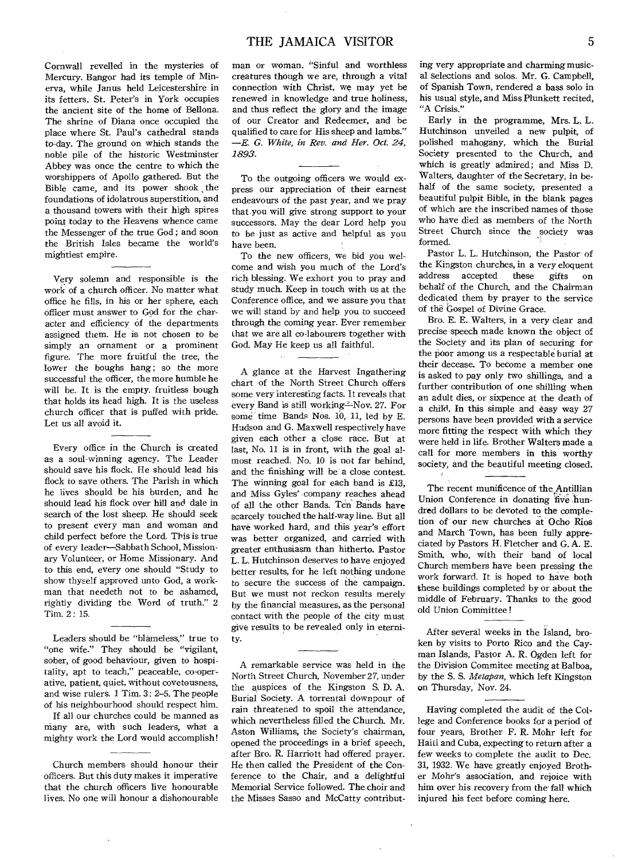Cornwall revelled in the mysteries of Mercury. Bangor had its temple of Minerva, while Janus held Leicestershire in its fetters. St. Peter's in York occupies the ancient site of the home of Bellona. The shrine of Diana once occupied the place where St. Paul's cathedral stands to-day. The ground on which stands the noble pile of the historic Westminster Abbey was once the centre to which the worshippers of Apollo gathered. But the Bible came, and its power shook the foundations of idolatrous superstition, and a thousand towers with their high spires point today to the Heavens whence came the Messenger of the true God ; and soon the British Isles became the world's mightiest empire.

Very solemn and responsible is the work of a church officer. No matter what office he fills, in his or her sphere, each officer must answer to God for the character and efficiency of the departments assigned them. He is not chosen to be simply an ornament or a prominent figure. The more fruitful the tree, the lower the boughs hang; so the more successful the officer, the more humble he will be. It is the empty. fruitless bough that holds its head high. It is the useless church officer that is puffed with pride. Let us all avoid it.

Every office in the Church is created as a soul-winning agency. The Leader should save his flock. He should lead his flock to save others. The Parish in which he lives should be his burden, and he should lead his flock over hill and dale in search of the lost sheep. He should seek to present every man and woman and child perfect before the Lord. This is true of every leader—Sabbath School, Missionary Volunteer, or Home Missionary. And to this end, every one should "Study to show thyself approved unto God, a workman that needeth not to be ashamed, rightly dividing the Word of truth." 2 Tim. 2: 15.

Leaders should be "blameless," true to "one wife." They should be "vigilant, sober, of good behaviour, given to hospitality, apt to teach," peaceable, co-operative, patient, quiet, without covetousness, and wise rulers. 1 Tim. 3: 2-5. The people of his neighbourhood should respect him.

If all our churches could be manned as many are, with such leaders, what a mighty work the Lord would accomplish!

Church members should honour their officers. But this duty makes it imperative that the church officers live honourable lives. No one will honour a dishonourable man or woman. "Sinful and worthless creatures though we are, through a vital connection with Christ, we may yet be renewed in knowledge and true holiness, and thus reflect the glory and the image of our Creator and Redeemer, and be qualified to care for His sheep and lambs." *—E. G. White, in Rev. and Her. Oct. 24, 1893.* 

To the outgoing officers we would express our appreciation of their earnest endeavours of the past year, and we pray that you will give strong support to your successors. May the dear Lord help you to be just as active and helpful as you have been.

To the new officers, we bid you welcome and wish you much of the Lord's rich blessing. We exhort you to pray and study much. Keep in touch with us at the Conference office, and we assure you that we will stand by and help, you to succeed through the coming year. Ever remember that we are all co-labourers together with God. May He keep us all faithful.

A glance at the Harvest Ingathering chart of the North Street Church offers some very interesting facts. It reveals that every Band is still working-Nov. 27. For some time Bands Nos. 10, 11, led by E. Hudson and G. Maxwell respectively have given each other a close race. But at last, No. 11 is in front, with the goal almost reached. No. 10 is not far behind, and the finishing will be a close contest. The winning goal for each band is £13, and Miss Gyles' company reaches ahead of all the other Bands. Ten Bands have scarcely touched the half-way line. But all have worked hard, and this year's effort was better organized, and carried with greater enthusiasm than hitherto. Pastor L. L. Hutchinson deserves to have enjoyed better results, for he left nothing undone to secure the success of the campaign. But we must not reckon results merely by the financial measures, as the personal contact with the people of the city must give results to be revealed only in eternity.

A remarkable service was held in the North Street Church, November 27, under the auspices of the Kingston S. D. A. Burial Society. A torrental downpour of rain threatened to spoil the attendance, which nevertheless filled the Church. Mr. Aston Williams, the Society's chairman, opened the proceedings in a brief speech, after Bro. R. Harriott had offered prayer. He then called the President of the Conference to the Chair, and a delightful Memorial Service followed. The choir and the Misses Sasso and McCatty contributing very appropriate and charming musical selections and solos. Mr. G. Campbell, of Spanish Town, rendered a bass solo in his usual style, and Miss Plunkett recited, "A Crisis."

Early in the programme, Mrs. L. L. Hutchinson unveiled a new pulpit, of polished mahogany, which the Burial Society presented to the Church, and which is greatly admired; and Miss D. Walters, daughter of the Secretary, in behalf of the same society, presented a beautiful pulpit Bible, in the blank pages of which are the inscribed names of those who have died as members of the North Street Church since the society was formed.

Pastor L. L. Hutchinson, the Pastor of the Kingston churches, in a very eloquent address accepted these gifts on behalf of the Church, and the Chairman dedicated them by prayer to the service of the Gospel of Divine Grace.

Bro. E. E. Walters, in a very clear and precise speech made known the object of the Society and its plan of securing for the poor among us a respectable burial at their decease. To become a member one is asked to pay only two shillings, and a further contribution of one shilling when an adult dies, or sixpence at the death of a child. In this simple and easy way 27 persons have been provided with a service more fitting the respect with which they were held in life. Brother Walters made a call for more members in this worthy society, and the beautiful meeting closed.

The recent munificence of the Antillian Union Conference in donating five hundred dollars to be devoted to the completion of our new churches at Ocho Rios and March Town, has been fully appreciated by Pastors H. Fletcher and G. A. E. Smith, who, with their band of local Church members have been pressing the work forward. It is hoped to have both these buildings completed by or about the middle of February. Thanks to the good old Union Committee !

After several weeks in the Island, broken by visits to Porto Rico and the Cayman Islands, Pastor A. R. Ogden left for the Division Commitee meeting at Balboa, by the S. S. *Metapan,* which left Kingston on Thursday, Nov. 24.

Having completed the audit of the College and Conference books for a period of four years, Brother F. R. Mohr left for Haiti and Cuba, expecting to return after a few weeks to complete the audit to Dec. 31, 1932. We have greatly enjoyed Brother Mohr's association, and rejoice with him over his recovery from the' fall which injured his feet before coming here.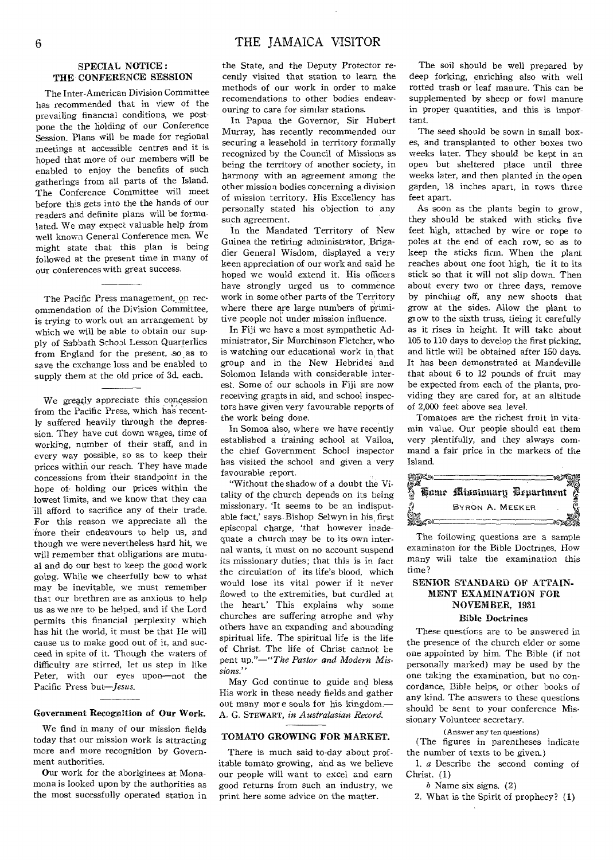#### SPECIAL NOTICE : THE CONFERENCE SESSION

The Inter-American Division Committee has recommended that in view of the prevailing financial conditions, we postpone the the holding of our Conference Session. Plans will be made for regional meetings at accessible centres and it is hoped that more of our members will be enabled to enjoy the benefits of such gatherings from all parts of the Island. The Conference Committee will meet before this gets into the the hands of our readers and definite plans will be formulated. We may expect valuable help from well known General Conference men. We might state that this plan is being followed at the present time in many of our conferences with great success.

The Pacific Press management, on recommendation of the Division Committee, is trying to work out an arrangement by which we will be able to obtain our supply of Sabbath School Lesson Quarterlies from Ergland for the present, so as to save the exchange loss and be enabled to supply them at the old price of 3d. each.

We greatly appreciate this concession from the Pacific Press, which has recently suffered heavily through the depression. They have cut down wages, time of working, number of their staff, and in every way possible, so as to keep their prices within our reach. They have made concessions from their standpoint in the hope of holding our prices within the lowest limits, and we know that they can ill afford to sacrifice any of their trade. For this reason we appreciate all the more their endeavours to help us, and though we were nevertheless hard hit, we will remember that obligations are mutual and do our best to keep the good work going. While we cheerfully bow to what may be inevitable, we must remember that our brethren are as anxious to, help us as we are to be helped, and if the Lord permits this financial perplexity which has hit the world, it must be that He will cause us to make good out of it, and succeed in spite of it. Though the waters of difficulty are stirred, let us step in like Peter, with our eyes upon—not the Pacific Press *but—Jesus.* 

#### Government Recognition of Our Work.

We find in many of our mission fields today that our mission work is attracting more and more recognition by Government authorities.

Our work for the aboriginees at Monamona is looked upon by the authorities as the most sucessfully operated station in

the State, and the Deputy Protector recently visited that station to learn the methods of our work in order to make recomendations to other bodies endeavouring to care for similar stations.

In Papua the Governor, Sir Hubert Murray, has recently recommended our securing a leasehold in territory formally recognized by the Council of Missions as being the territory of another society, in harmony with an agreement among the other mission bodies concerning a division of mission territory. His Excellency has personally stated his objection to any such agreement.

In the Mandated Territory of New Guinea the retiring administrator, Brigadier General Wisdom, displayed a very keen appreciation of our work and said he hoped we would extend it. His officers have strongly urged us to commence work in some other parts of the Territory where there are large numbers of primitive people not under mission influence.

In Fiji we have a most sympathetic Administrator, Sir Murchinson Fletcher, who is watching our educational work in that group and in the New Hebrides and Solomon Islands with considerable interest. Some of our schools in Fiji are now receiving grants in aid, and school inspectors have given very favourable reports of the work being done.

In Somoa also, where we have recently established a training school at Vailoa, the chief Government School inspector has visited the school and given a very favourable report.

"Without the shadow of a doubt the Vitality of the church depends on its being missionary. 'It seems to be an indisputable fact,' says Bishop Selwyn in his first episcopal charge, 'that however inadequate a church may be to its own internal wants, it must on no account suspend its missionary duties; that this is in fact the circulation of its life's blood, which would lose its vital power if it never flowed to the extremities, but curdled at the heart.' This explains why some churches are suffering atrophe and why others have an expanding and abounding spiritual life. The spiritual life is the life of Christ. The life of Christ cannot be pent *up."—"The Pastor and Modern Missions."* 

May God continue to guide and bless His work in these needy fields and gather out many mor e souls for his kingdom.— A. G. STEWART, *in Australasian Record.* 

#### TOMATO GROWING FOR MARKET.

There is much said to-day about profitable tomato growing, and as we believe our people will want to excel and earn good returns from such an industry, we print here some advice on the matter.

The soil should be well prepared by deep forking, enriching also with well rotted trash or leaf manure. This can be supplemented by sheep or fowl manure in proper quantities, and this is important.

The seed should be sown in small boxes, and transplanted to other boxes two weeks later. They should be kept in an open but sheltered place until three weeks later, and then planted in the open garden, 18 inches apart, in rows three feet apart.

As soon as the plants begin to grow, they should be staked with sticks five feet high, attached by wire or rope to poles at the end of each row, so as to keep the sticks firm. When the plant reaches about one foot high, tie it to its stick so that it will not slip down. Then about every two or three days, remove by pinching off, any new shoots that grow at the sides. Allow the plant to grow to the sixth truss, tieing it carefully as it rises in height. It will take about 105 to 110 days to develop the first picking, and little will be obtained after 150 days. It has been demonstrated at Mandeville that about 6 to 12 pounds of fruit may be expected from each of the plants, providing they are cared for, at an altitude of 2,000 feet above sea level.

Tomatoes are the richest fruit in vitamin value. Our people should eat them very plentifully, and they always command a fair price in the markets of the Island.



The following questions are a sample examinaton for the Bible Doctrines. How many will take the examination this time?

#### SENIOR STANDARD OF ATTAIN-MENT EXAMINATION FOR NOVEMBER, 1931

#### Bible Doctrines

These questions are to be answered in the presence of the church elder or some one appointed by him. The Bible (if not personally marked) may be used by the one taking the examination, but no concordance, Bible helps, or other books of any kind. The answers to these questions should be sent to your conference Missionary Volunteer secretary.

(Answer any ten questions)

(The figures in parentheses indicate the number of texts to be given.)

*1. a* Describe the second coming of Christ. (1)

*b* Name six signs. (2)

2. What is the Spirit of prophecy? (1)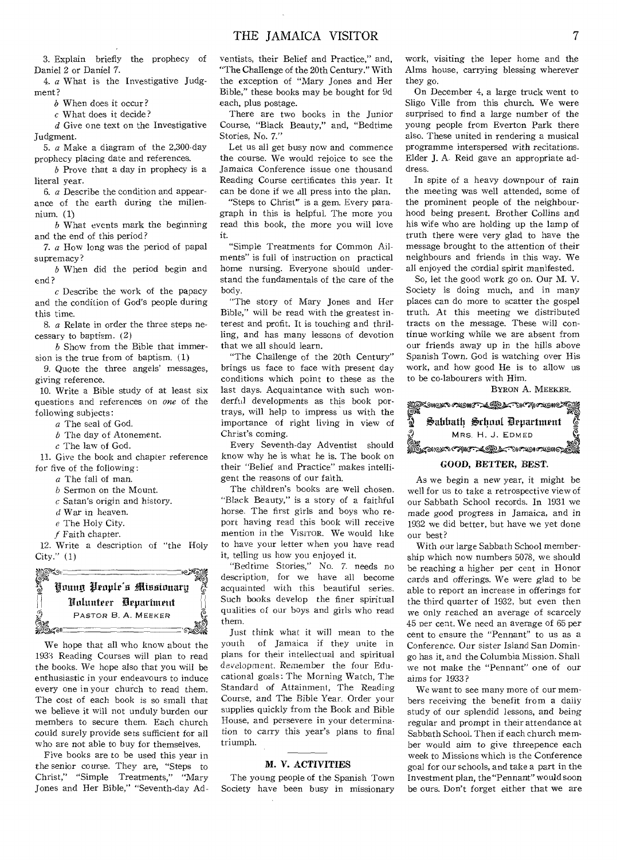3. Explain briefly the prophecy of Daniel 2 or Daniel 7.

4. *a* What is the Investigative Judgment?

*b* When does it occur?

*c* What does it decide?

*d* Give one text on the Investigative Judgment.

5. *a* Make a diagram of the 2,300-day prophecy placing date and references.

*b* Prove that a day in prophecy is a literal year.

6. *a* Describe the condition and appearance of the earth during the millennium. (1)

*b* What events mark the beginning and the end of this period?

*7. a* How long was the period of papal supremacy?

*b* When did the period begin and end?

*c* Describe the work of the papacy and the condition of God's people during this time.

8. *a* Relate in order the three steps necessary to baptism. (2)

*b* Show from the Bible that immersion is the true from of baptism. (1)

*9.* Quote the three angels' messages, giving reference.

10. Write a Bible study of at least six questions and references on *one* of the following subjects:

*a* The seal of God.

*b* The day of Atonement.

 $c$  The law of God.

11. Give the book and chapter reference for five of the following:

*a* The fall of man.

*b* Sermon on the Mount.

*c* Satan's origin and history.

*d* War in heaven.

- *e* The Holy City.
- *f* Faith chapter.

12. Write a description of "the Holy City." (1)



We hope that all who know about the 1933 Reading Courses will plan to read the books. We hope also that you will be enthusiastic in your endeavours to induce every one in your church to read them. The cost of each book is so small that we believe it will not unduly burden our members to secure them. Each church could surely provide sets sufficient for all who are not able to buy for themselves.

Five books are to be used this year in the senior course. They are, "Steps to Christ," "Simple Treatments," "Mary Jones and Her Bible," "Seventh-day Adventists, their Belief and Practice," and, "The Challenge of the 20th Century." With the exception of "Mary Jones and Her Bible," these books may be bought for 9d each, plus postage.

There are two books in the Junior Course, "Black Beauty," and, "Bedtime Stories, No. 7."

Let us all get busy now and commence the course. We would rejoice to see the Jamaica Conference issue one thousand Reading Course certificates this year. It can be done if we all press into the plan.

"Steps to Christ" is a gem. Every paragraph in this is helpful. The more you read this book, the more you will love it.

"Simple Treatments for Common Ailments" is full of instruction on practical home nursing. Everyone should understand the fundamentals of the care of the body.

"The story of Mary Jones and Her Bible," will be read with the greatest interest and profit. It is touching and thrilling, and has many lessons of devotion that we all should learn.

"The Challenge of the 20th Century" brings us face to face with present day conditions which point to these as the last days. Acquaintance with such wonderful developments as this book portrays, will help to impress us with the importance of right living in view of Christ's coming.

Every Seventh-day Adventist should know why he is what he is. The book on their "Belief and Practice" makes intelligent the reasons of our faith.

The children's books are well chosen. "Black Beauty," is a story of a faithful horse. The first girls and boys who report having read this book will receive mention in the VISITOR. We would like to have your letter when you have read it, telling us how you enjoyed it.

"Bedtime Stories," No. 7. needs no description, for we have all become acquainted with this beautiful series. Such books develop the finer spiritual qualities of our boys and girls who read them.

Just think what it will mean to the vouth of Jamaica if they unite in of Jamaica if they unite in plans for their intellectual and spiritual development. Remember the four Educational goals: The Morning Watch, The Standard of Attainment, The Reading Course, and The Bible Year. Order your supplies quickly from the Book and Bible House, and persevere in your determination to carry this year's plans to final triumph.

#### **M. V. ACTIVITIES**

The young people of the Spanish Town Society have been busy in missionary work, visiting the leper home and the Alms house, carrying blessing wherever they go.

On December 4, a large truck went to Sligo Ville from this church. We were surprised to find a large number of the young people from Everton Park there also. These united in rendering a musical programme interspersed with recitations. Elder J. A. Reid gave an appropriate address.

In spite of a heavy downpour of rain the meeting was well attended, some of the prominent people of the neighbourhood being present. Brother Collins and his wife who are holding up the lamp of truth there were very glad to have the message brought to the attention of their neighbours and friends in this way. We all enjoyed the cordial spirit manifested.

So, let the good work go on. Our M. V. Society is doing much, and in many places can do more to scatter the gospel truth. At this meeting we distributed tracts on the message. These will continue working while we are absent from our friends away up in the hills above Spanish Town. God is watching over His work, and how good He is to allow us to be co-labourers with Him.

BYRON A. MEEKER.



#### **GOOD, BETTER, BEST.**

As we begin a new year, it might be well for us to take a retrospective view of our Sabbath School records. In 1931 we made good *progress* in Jamaica, and in 1932 we did better, but have we yet done our best?

With our large Sabbath School membership which now numbers 5078, we should be reaching a higher per cent in Honor cards and offerings. We were glad to be able to report an increase in offerings for the third quarter of 1932, but even then we only reached an average of scarcely 45 per cent. We need an average of 65 per cent to ensure the "Pennant" to us as a Conference. Our sister Island San Domingo has it, and the Columbia Mission. Shall we not make the "Pennant" one of our aims for 1933?

We want to see many more of our members receiving the benefit from a daily study of our splendid lessons, and *being*  regular and prompt in their attendance at Sabbath School. Then if each church member would aim to *give* threepence each week to Missions which is the Conference goal for our schools, and take a part in the Investment plan, the "Pennant" would soon be ours. Don't forget either that we are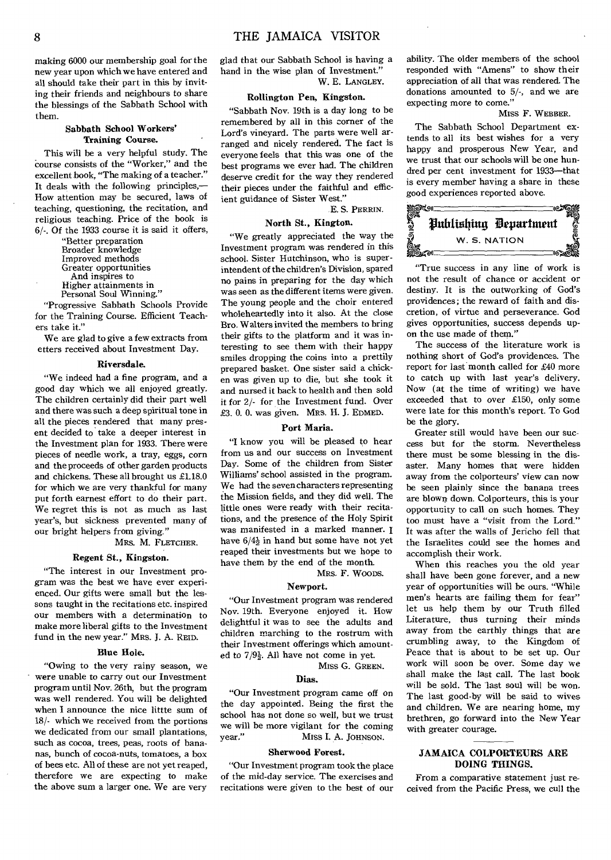making 6000 our membership goal for the new year upon which we have entered and all should take their part in this by inviting their friends and neighbours to share the blessings of the Sabbath School with them.

#### **Sabbath School Workers' Training Course.**

This will be a very helpful study. The Course consists of the "Worker," and the excellent book, "The making of a teacher." It deals with the following principles,— How attention may be secured, laws of teaching, questioning, the recitation, and religious teaching. Price of the book is 6/-. Of the 1933 course it is said it offers,

> "Better preparation Broader knowledge Improved methods Greater opportunities And inspires to Higher attainments in Personal Soul Winning."

"Progressive Sabbath Schools Provide for the Training Course. Efficient Teachers take it."

We are glad to give a few extracts from etters received about Investment Day.

#### **Riversdale.**

"We indeed had a fine program, and a good day which we all enjoyed greatly. The children certainly did their part well and there was such a deep spiritual tone in all the pieces rendered that many present decided to take a deeper interest in the Investment plan for 1933. There were pieces of needle work, a tray, eggs, corn and the proceeds of other garden products and chickens. These all brought us £1.18.0 for which we are very thankful for many put forth earnest effort to do their part. We regret this is not as much as last year's, but sickness prevented many of our bright helpers from giving."

MRS. M. FLETCHER.

#### **Regent St., Kingston.**

"The interest in our Investment program was the best we have ever experienced. Our gifts were small but the lessons taught in the recitations etc. inspired our members with a determination to make more liberal gifts to the Investment fund in the new year." MRs. J. A. REID.

#### **Blue Hole.**

"Owing to the very rainy season, we were unable to carry out our Investment program until Nov. 26th, but the program was well rendered. You will be delighted when I announce the nice littte sum of 18/- which we received from the portions we dedicated from our small plantations, such as cocoa, trees, peas, roots of bananas, bunch of cocoa-nuts, tomatoes, a box of bees etc. All of these are not yet reaped, therefore we are expecting to make the above sum a larger one. We are very

glad that our Sabbath School is having a hand in the wise plan of Investment." W. E. LANGLEY.

#### **Rollington Pen, Kingston.**

"Sabbath Nov. 19th is a day long to be remembered by all in this corner of the Lord's vineyard. The parts were well arranged and nicely rendered. The fact is everyone feels that this was one of the best programs we ever had. The children deserve credit for the way they rendered their pieces under the faithful and efficient guidance of Sister West."

E. S. PERRIN.

#### **North St., Kington.**

"We greatly appreciated the way the Investment program was rendered in this school. Sister Hutchinson, who is superintendent of the children's Division, spared no pains in preparing for the day which was seen as the different items were given. The young people and the choir entered wholeheartedly into it also. At the close Bro. Walters invited the members to bring their gifts to the platform and it was interesting to see them with their happy smiles dropping the coins into a prettily prepared basket. One sister said a chicken was given up to die, but she took it and nursed it back to health and then sold it for 2/- for the Investment fund. Over £3. 0. 0. was given. MRS. H. J. EDMED.

#### **Port Maria.**

"I know you will be pleased to hear from us and our success on Investment Day. Some of the children from Sister Williams' school assisted in the program. We had the seven characters representing the Mission fields, and they did well. The little ones were ready with their recitations, and the presence of the Holy Spirit was manifested in a marked manner. I have  $6/4\frac{1}{2}$  in hand but some have not vet reaped their investments but we hope to have them by the end of the month.

MRS. **F.** WOODS.

#### **Newport.**

"Our Investment program was rendered Nov. 19th. Everyone enjoyed it. How delightful it was to see the adults and children marching to the rostrum with their Investment offerings which amounted to  $7/9\frac{1}{2}$ . All have not come in yet.

Miss G. GREEN.

#### Dias.

"Our Investment program came off on the day appointed. Being the first the school has not done so well, but we trust we will be more vigilant for the coming<br>year." Miss I. A. JOHNSON. MISS I. A. JOHNSON.

#### **Sherwood Forest.**

"Our Investment program took the place of the mid-day service. The exercises and recitations were given to the best of our

ability. The older members of the school responded with "Amens" to show their appreciation of all that was rendered. The donations amounted to 5/-, and we are expecting more to come."

#### Miss F. WEBBER.

The Sabbath School Department extends to all its best wishes for a very happy and prosperous New Year, and we trust that our schools will be one hundred per cent investment for 1933—that is every member having a share in these good experiences reported above.



"True success in any line of work is not the result of chance or accident or destiny. It is the outworking of God's providences; the reward of faith and discretion, of virtue and perseverance. God gives opportunities, success depends upon the use made of them."

The success of the literature work is nothing short of God's providences. The report for last month called for £40 more to catch up with last year's delivery. Now (at the time of writing) we have exceeded that to over £150, only some were late for this month's report. To God be the glory.

Greater still would have been our success but for the storm. Nevertheless there must be some blessing in the disaster. Many homes that were hidden away from the colporteurs' view can now be seen plainly since the banana trees are blown down. Colporteurs, this is your opportunity to call on such homes. They too must have a "visit from the Lord." It was after the walls of Jericho fell that the Israelites could see the homes and accomplish their work.

When this reaches you the old year shall have been gone forever, and a new year of opportunities will be ours. "While men's hearts are failing them for fear" let us help them by our Truth filled Literature, thus turning their minds away from the earthly things that are crumbling away, to the Kingdom of Peace that is about to be set up. Our work will soon be over. Some day we shall make the last call. The last book will be sold. The last soul will be won. The last good-by will be said to wives and children. We are nearing home, my brethren, go forward into the New Year with greater courage.

#### **JAMAICA COLPORTEURS ARE DOING THINGS.**

From a comparative statement just received from the Pacific Press, we cull the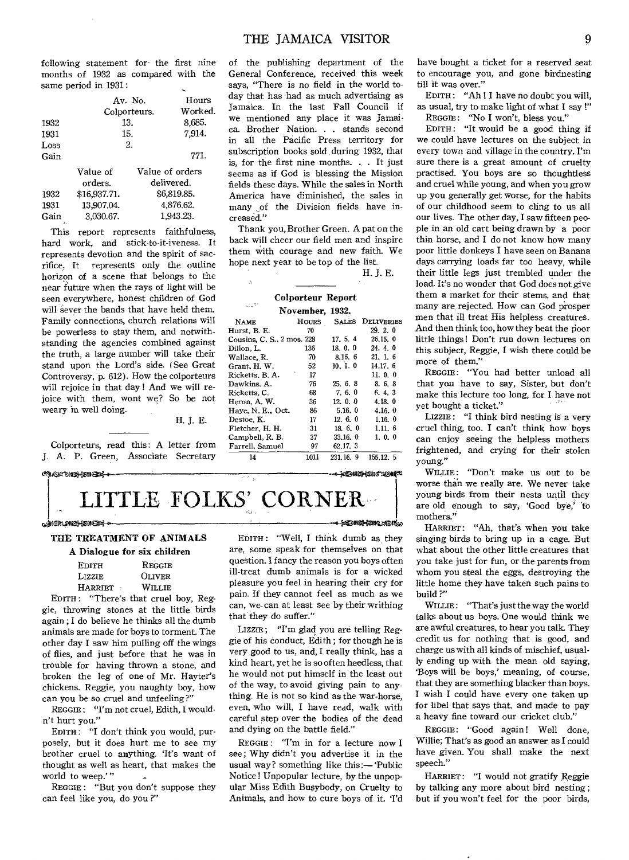following statement for the first nine months of 1932 as compared with the same period in 1931:

|      |              | Av. No. | Hours           |  |  |
|------|--------------|---------|-----------------|--|--|
|      | Colporteurs. | Worked. |                 |  |  |
| 1932 |              | 13.     | 8.685.          |  |  |
| 1931 |              | 15.     | 7.914.          |  |  |
| Loss |              | 2.      |                 |  |  |
| Gain |              |         | 771.            |  |  |
|      | Value of     |         | Value of orders |  |  |

|      | orders.      | delivered.  |
|------|--------------|-------------|
| 1932 | \$16.937.71. | \$6,819.85. |
| 1931 | 13,907.04.   | 4,876.62.   |
| Gain | 3.030.67.    | 1,943.23.   |
| n.   |              |             |

This report represents faithfulness, hard work, and stick-to-it-iveness. It represents devotion and the spirit of sacrifice. It represents only the outline horizon of a scene that belongs to the near future when the rays of light will be seen everywhere, honest children of God will sever the bands that have held them. Family connections, church relations will be powerless to stay them, and notwithstanding the agencies combined against the truth, a large number will take their stand upon the Lord's side. (See Great Controversy, p. 612). How the colporteurs will rejoice in that day ! And we will rejoice with them, wont we? So be not weary in well doing.

H. J. E.

Colporteurs, read this: A letter from J. A. P. Green, Associate Secretary

#### ctrox the sene

## TTLE FOLKS' CORNER

#### te, 1998, 1999, 1999, 1999, 1999, 1999, 1999, 1999, 1999, 1999, 1999, 1999, 1999, 1999, 1999, 1999, 1999, 1999

#### THE TREATMENT OF ANIMALS

|                | A Dialogue for six children |
|----------------|-----------------------------|
| <b>EDITH</b>   | REGGIE                      |
| LIZZIE.        | <b>OLIVER</b>               |
| <b>HARRIET</b> | WILLIE                      |
|                |                             |

EDITH : "There's that cruel boy, Reggie, throwing stones at the little birds again ; I do believe he thinks all the dumb animals are made for boys to torment. The other day I saw him pulling off the wings of flies, and just before that he was in trouble for having thrown a stone, and broken the leg of one of Mr. Hayter's chickens. Reggie, you naughty boy, how can you be so cruel and unfeeling?"

REGGIE : "I'm not cruel, Edith, I wouldn't hurt you."

EDITH: "I don't think you would, purposely, but it does hurt me to see my brother cruel to anything. 'It's want of thought as well as heart, that makes the world to weep.'"

REGGIE : "But you don't suppose they can feel like you, do you ?"

of the publishing department of the General Conference, received this week says, "There is no field in the world today that has had as much advertising as Jamaica. In the last Fall Council if we mentioned any place it was Jamaica. Brother Nation. . . stands second in all the Pacific Press territory for subscription books sold during 1932, that is, for the first nine months. . . It just seems as if God is blessing the Mission fields these days. While the sales in North America have diminished, the sales in many of the Division fields have increased."

Thank you, Brother Green. A pat on the back will cheer our field men and inspire them with courage and new faith. We hope next year to be top of the list. H. J. E.

#### Colporteur Report November, 1932.

Ă, L.

|                            | TIALLERATIO  | ----     |                         |
|----------------------------|--------------|----------|-------------------------|
| <b>NAME</b>                | <b>HOURS</b> |          | <b>SALES DELIVERIES</b> |
| Hurst, B. E.               | 70           |          | 29.2.0                  |
| Cousins, C. S., 2 mos. 228 |              | 17.5.4   | 26.15.0                 |
| Dillon, L.                 | 136          | 18, 0, 0 | 24.4.0                  |
| Wallace, R.                | 70           | 8.16.6   | 21.1.6                  |
| Grant, H. W.               | 52           | 10.1.0   | 14.17.6                 |
| Ricketts, B. A.            | 17           |          | 11.0.0                  |
| Dawkins, A.                | 76           | 25. 6. 8 | 8.6.8                   |
| Ricketts, C.               | 68           | 7, 6, 0  | 6.4.3                   |
| Heron, A. W.               | 36           | 12.0.0   | 4.18.0                  |
| Have, N. E., Oct.          | 86           | 5.16.0   | 4.16.0                  |
| Destoe, K.                 | 17           | 12, 6, 0 | 1.16.0                  |
| Fletcher, H. H.            | 31           | 18.6.0   | 1.11.6                  |
| Campbell, R. B.            | 37           | 33.16.0  | 1, 0, 0                 |
| Farrell. Samuel            | 97           | 62.17.3  |                         |

14 1011 231.16. 9 155.12. 5 6-3000 Suite (1900)

eleMintAIDESito

EDITH: "Well, I think dumb as they are, some speak for themselves on that question. I fancy the reason you boys often ill-treat dumb animals is for a wicked pleasure you feel in hearing their cry for pain. If they cannot feel as much as we can, we-can at least see by their writhing that they do suffer."

LIZZIE ; "I'm glad you are telling Reggie of his conduct, Edith ; for though he is very good to us, and, I really think, has a kind heart, yet he is so often heedless, that he would not put himself in the least out of the way, to avoid giving pain to anything. He is not so kind as the war-horse, even, who will, I have read, walk with careful step over the bodies of the dead and dying on the battle field."

REGGIE: "I'm in for a lecture now I see; Why didn't you advertise it in the usual way? something like this:- 'Public Notice ! Unpopular lecture, by the unpopular Miss Edith Busybody, on Cruelty to Animals, and how to cure boys of it. 'I'd

have bought a ticket for a reserved seat to encourage you, and gone birdnesting till it was over."

EDITH : "Ah ! I have no doubt you will, as usual, try to make light of what I say !" REGGIE: "No I won't, bless you."

EDITH : "It would be a good thing if we could have lectures on the subject in every town and village in the country. I'm sure there is a great amount of cruelty practised. You boys are so thoughtless and cruel while young, and when you grow up you generally get worse, for the habits of our childhood seem to cling to us all our lives. The other day, I saw fifteen people in an old cart being drawn by a poor thin horse, and I do not know how many poor little donkeys I have seen on Banana days carrying loads far too heavy, while their little legs just trembled under the load. It's no wonder that God does not give them a market for their stems, and that many are rejected. How can God prosper men that ill treat His helpless creatures. And then think too, how they beat the poor little things! Don't run down lectures on this subject, Reggie, I wish there could be more of them."

REGGIE: "You had better unload all that you have to say, Sister, but don't make this lecture too long, for I have not yet bought a ticket."

LIZZIE: "I think bird nesting is a very cruel thing, too. I can't think how boys can enjoy seeing the helpless mothers frightened, and crying for their stolen young."

WILLIE: "Don't make us out to be worse than we really are. We never take young birds from their nests until they are old enough to say, 'Good bye,' 'to mothers."

HARRIET: "Ah, that's when you take singing birds to bring up in a cage. But what about the other little creatures that you take just for fun, or the parents from whom you steal the eggs, destroying the little home they have taken such pains to build ?"

WILLIE: "That's just the way the world talks about us boys. One would think we are awful creatures, to hear you talk. They credit us for nothing that is good, and charge us with all kinds of mischief, usually ending up with the mean old saying, `Boys will be boys,' meaning, of course, that they are something blacker than boys. I wish I could have every one taken up for libel that says that, and made to pay a heavy fine toward our cricket club."

REGGIE: "Good again! Well done, Willie; That's as good an answer as I could have given. You shall make the next speech."

HARRIET: "I would not gratify Reggie by talking any more about bird nesting ; but if you won't feel for the poor birds,